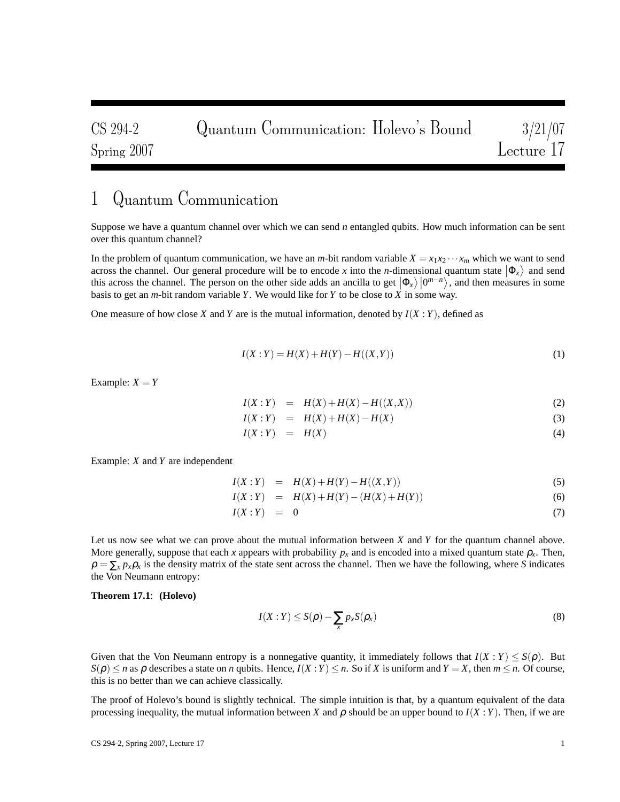# 1 Quantum Communication

Suppose we have a quantum channel over which we can send *n* entangled qubits. How much information can be sent over this quantum channel?

In the problem of quantum communication, we have an *m*-bit random variable  $X = x_1 x_2 \cdots x_m$  which we want to send across the channel. Our general procedure will be to encode *x* into the *n*-dimensional quantum state  $|\Phi_x\rangle$  and send this across the channel. The person on the other side adds an ancilla to get  $|\Phi_x\rangle|0^{m-n}\rangle$ , and then measures in some basis to get an *m*-bit random variable *Y*. We would like for *Y* to be close to *X* in some way.

One measure of how close *X* and *Y* are is the mutual information, denoted by  $I(X:Y)$ , defined as

$$
I(X:Y) = H(X) + H(Y) - H((X,Y))
$$
\n(1)

Example:  $X = Y$ 

$$
I(X:Y) = H(X) + H(X) - H((X,X))
$$
\n(2)

$$
I(X:Y) = H(X) + H(X) - H(X)
$$
\n(3)

$$
I(X:Y) = H(X) \tag{4}
$$

Example: *X* and *Y* are independent

$$
I(X:Y) = H(X) + H(Y) - H((X,Y))
$$
\n(5)

$$
I(X:Y) = H(X) + H(Y) - (H(X) + H(Y))
$$
\n(6)

$$
I(X:Y) = 0 \tag{7}
$$

Let us now see what we can prove about the mutual information between *X* and *Y* for the quantum channel above. More generally, suppose that each *x* appears with probability  $p_x$  and is encoded into a mixed quantum state  $\rho_x$ . Then,  $\rho = \sum_{x} p_{x} \rho_{x}$  is the density matrix of the state sent across the channel. Then we have the following, where *S* indicates the Von Neumann entropy:

#### **Theorem 17.1**: **(Holevo)**

$$
I(X:Y) \leq S(\rho) - \sum_{x} p_x S(\rho_x)
$$
\n(8)

Given that the Von Neumann entropy is a nonnegative quantity, it immediately follows that  $I(X:Y) \leq S(\rho)$ . But  $S(\rho) \le n$  as  $\rho$  describes a state on *n* qubits. Hence,  $I(X:Y) \le n$ . So if *X* is uniform and  $Y = X$ , then  $m \le n$ . Of course, this is no better than we can achieve classically.

The proof of Holevo's bound is slightly technical. The simple intuition is that, by a quantum equivalent of the data processing inequality, the mutual information between *X* and  $\rho$  should be an upper bound to  $I(X; Y)$ . Then, if we are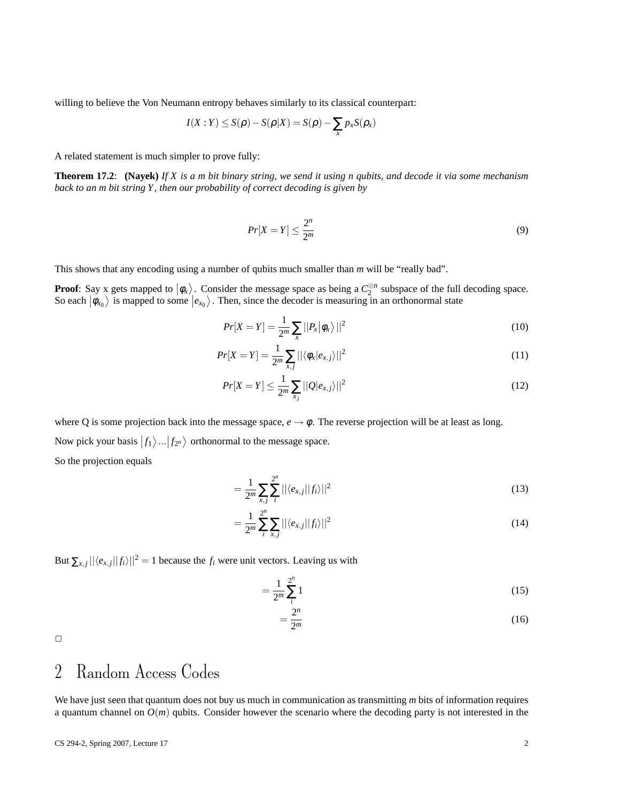willing to believe the Von Neumann entropy behaves similarly to its classical counterpart:

$$
I(X:Y) \leq S(\rho) - S(\rho|X) = S(\rho) - \sum_{x} p_{x} S(\rho_{x})
$$

A related statement is much simpler to prove fully:

**Theorem 17.2**: **(Nayek)** *If X is a m bit binary string, we send it using n qubits, and decode it via some mechanism back to an m bit string Y , then our probability of correct decoding is given by*

$$
Pr[X = Y] \le \frac{2^n}{2^m} \tag{9}
$$

This shows that any encoding using a number of qubits much smaller than *m* will be "really bad".

**Proof**: Say x gets mapped to  $|\phi_x\rangle$ . Consider the message space as being a  $C_2^{\otimes n}$  subspace of the full decoding space. So each  $|\phi_{x_0}\rangle$  is mapped to some  $|e_{x_0}\rangle$ . Then, since the decoder is measuring in an orthonormal state

$$
Pr[X = Y] = \frac{1}{2^m} \sum_{x} ||P_x|\phi_x\rangle||^2
$$
\n(10)

$$
Pr[X = Y] = \frac{1}{2^m} \sum_{x,j} ||\langle \phi_x | e_{x,j} \rangle||^2
$$
\n(11)

$$
Pr[X = Y] \le \frac{1}{2^m} \sum_{x_j} ||Q| e_{x,j} \rangle ||^2
$$
\n(12)

where Q is some projection back into the message space,  $e \rightarrow \phi$ . The reverse projection will be at least as long. Now pick your basis  $|f_1\rangle ... |f_{2^n}\rangle$  orthonormal to the message space. So the projection equals

$$
=\frac{1}{2^m}\sum_{x,j}\sum_{i}^{2^m}||\langle e_{x,j}||f_i\rangle||^2
$$
\n(13)

$$
=\frac{1}{2^m}\sum_{i}^{2^n}\sum_{x,j}||\langle e_{x,j}||f_i\rangle||^2
$$
\n(14)

But  $\sum_{x,j} ||\langle e_{x,j}||f_i\rangle||^2 = 1$  because the  $f_i$  were unit vectors. Leaving us with

$$
=\frac{1}{2^m}\sum_{i=1}^{2^n}1
$$
 (15)

$$
=\frac{2^n}{2^m}\tag{16}
$$

 $\Box$ 

## 2 Random Access Codes

We have just seen that quantum does not buy us much in communication as transmitting *m* bits of information requires a quantum channel on  $O(m)$  qubits. Consider however the scenario where the decoding party is not interested in the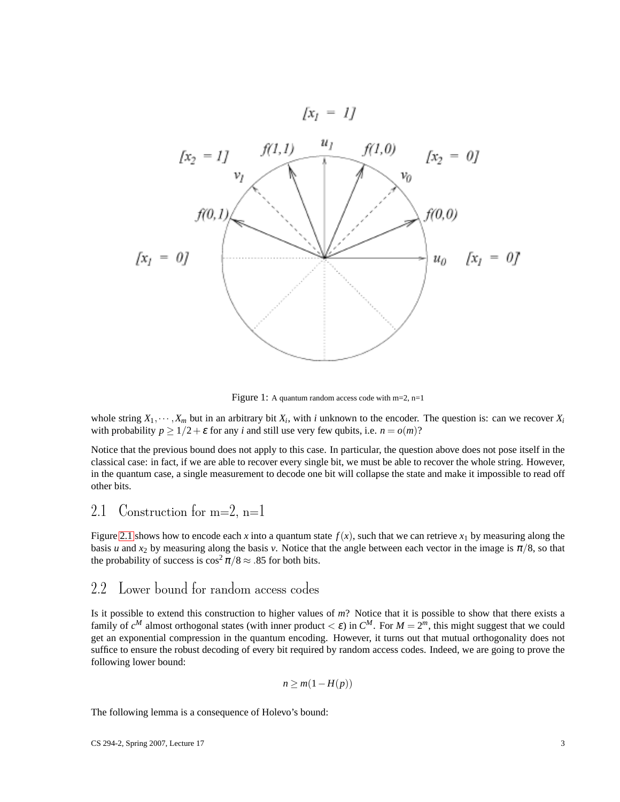

Figure 1: A quantum random access code with m=2, n=1

whole string  $X_1, \dots, X_m$  but in an arbitrary bit  $X_i$ , with *i* unknown to the encoder. The question is: can we recover  $X_i$ with probability  $p \ge 1/2 + \varepsilon$  for any *i* and still use very few qubits, i.e.  $n = o(m)$ ?

Notice that the previous bound does not apply to this case. In particular, the question above does not pose itself in the classical case: in fact, if we are able to recover every single bit, we must be able to recover the whole string. However, in the quantum case, a single measurement to decode one bit will collapse the state and make it impossible to read off other bits.

### <span id="page-2-0"></span>2.1 Construction for  $m=2$ ,  $n=1$

Figure [2.1](#page-2-0) shows how to encode each x into a quantum state  $f(x)$ , such that we can retrieve  $x_1$  by measuring along the basis *u* and *x*<sub>2</sub> by measuring along the basis *v*. Notice that the angle between each vector in the image is  $\pi/8$ , so that the probability of success is  $\cos^2 \pi / 8 \approx .85$  for both bits.

#### 2.2 Lower bound for random access codes

Is it possible to extend this construction to higher values of *m*? Notice that it is possible to show that there exists a family of  $c^M$  almost orthogonal states (with inner product  $< \varepsilon$ ) in  $C^M$ . For  $M = 2^m$ , this might suggest that we could get an exponential compression in the quantum encoding. However, it turns out that mutual orthogonality does not suffice to ensure the robust decoding of every bit required by random access codes. Indeed, we are going to prove the following lower bound:

$$
n \ge m(1 - H(p))
$$

The following lemma is a consequence of Holevo's bound: